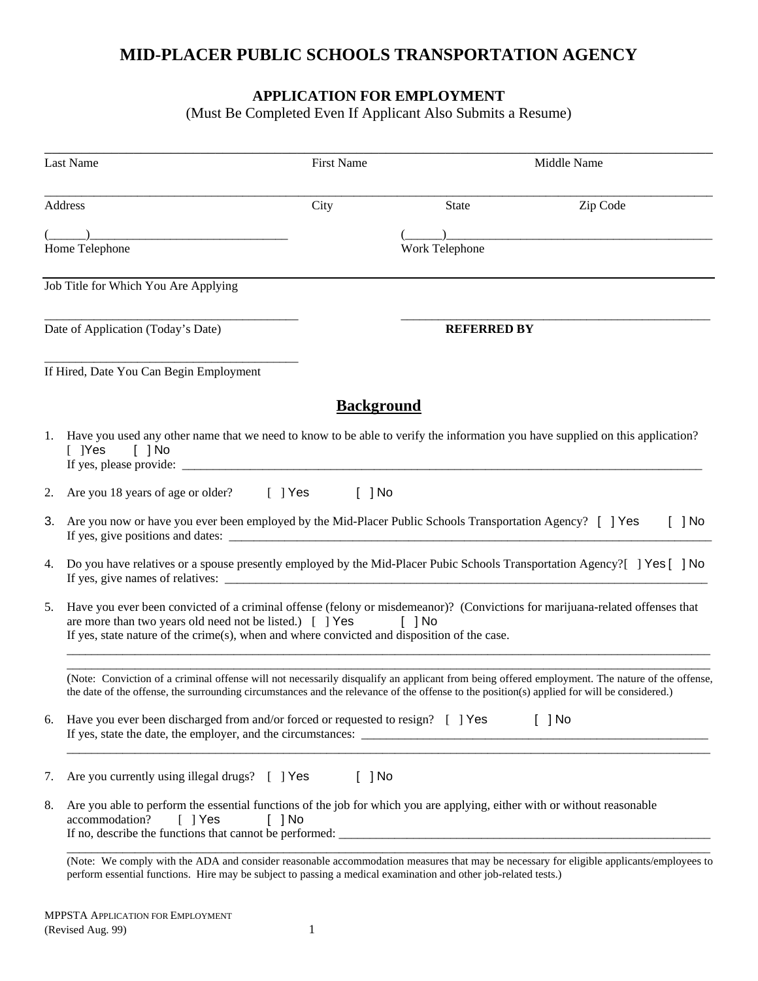## **MID-PLACER PUBLIC SCHOOLS TRANSPORTATION AGENCY**

### **APPLICATION FOR EMPLOYMENT**

(Must Be Completed Even If Applicant Also Submits a Resume)

|    | <b>Last Name</b>                                                                                                                                                                                                                                                                              | <b>First Name</b> |                      | Middle Name          |
|----|-----------------------------------------------------------------------------------------------------------------------------------------------------------------------------------------------------------------------------------------------------------------------------------------------|-------------------|----------------------|----------------------|
|    | Address                                                                                                                                                                                                                                                                                       | City              | <b>State</b>         | Zip Code             |
|    | Home Telephone                                                                                                                                                                                                                                                                                |                   | Work Telephone       |                      |
|    | Job Title for Which You Are Applying                                                                                                                                                                                                                                                          |                   |                      |                      |
|    | Date of Application (Today's Date)                                                                                                                                                                                                                                                            |                   | <b>REFERRED BY</b>   |                      |
|    | If Hired, Date You Can Begin Employment                                                                                                                                                                                                                                                       |                   |                      |                      |
|    |                                                                                                                                                                                                                                                                                               | <b>Background</b> |                      |                      |
|    | 1. Have you used any other name that we need to know to be able to verify the information you have supplied on this application?<br>$\lceil$ [Yes<br>$\lceil$ $\rceil$ No<br>If yes, please provide:                                                                                          |                   |                      |                      |
| 2. | Are you 18 years of age or older?<br>$[$ ] Yes                                                                                                                                                                                                                                                | $[$ ] No          |                      |                      |
| 3. | Are you now or have you ever been employed by the Mid-Placer Public Schools Transportation Agency? [ ] Yes                                                                                                                                                                                    |                   |                      | $[$ ] No             |
| 4. | Do you have relatives or a spouse presently employed by the Mid-Placer Pubic Schools Transportation Agency? [] Yes [] No                                                                                                                                                                      |                   |                      |                      |
| 5. | Have you ever been convicted of a criminal offense (felony or misdemeanor)? (Convictions for marijuana-related offenses that<br>are more than two years old need not be listed.) [ ] Yes<br>If yes, state nature of the crime(s), when and where convicted and disposition of the case.       |                   | $\lceil$ $\rceil$ No |                      |
|    | (Note: Conviction of a criminal offense will not necessarily disqualify an applicant from being offered employment. The nature of the offense,<br>the date of the offense, the surrounding circumstances and the relevance of the offense to the position(s) applied for will be considered.) |                   |                      |                      |
| 6. | Have you ever been discharged from and/or forced or requested to resign? [ ] Yes                                                                                                                                                                                                              |                   |                      | $\lceil$ $\rceil$ No |
| 7. | Are you currently using illegal drugs? [ ] Yes                                                                                                                                                                                                                                                | $[$ ] No          |                      |                      |
| 8. | Are you able to perform the essential functions of the job for which you are applying, either with or without reasonable<br>accommodation?<br>$\lceil$   Yes<br>$\lceil$ $\rceil$ No<br>If no, describe the functions that cannot be performed:                                               |                   |                      |                      |
|    | (Note: We comply with the ADA and consider reasonable accommodation measures that may be necessary for eligible applicants/employees to                                                                                                                                                       |                   |                      |                      |

perform essential functions. Hire may be subject to passing a medical examination and other job-related tests.)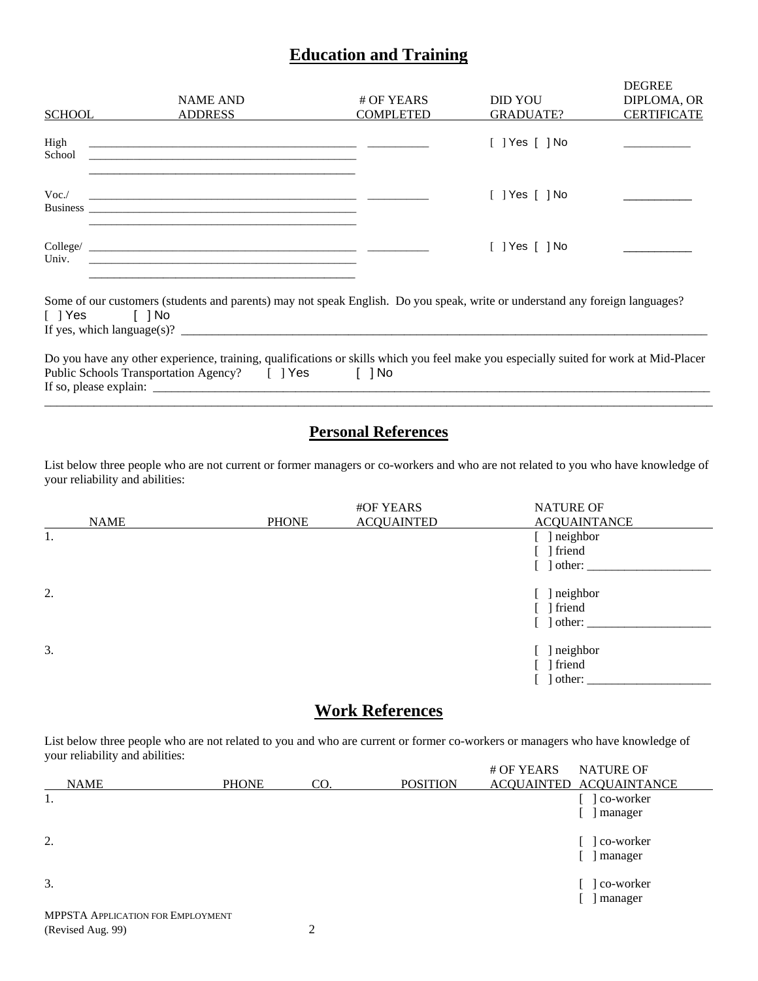### **Education and Training**

| <b>SCHOOL</b>                | <b>NAME AND</b><br><b>ADDRESS</b>                                                                                                                                                                                                             | # OF YEARS<br><b>COMPLETED</b> | <b>DID YOU</b><br>GRADUATE?  | <b>DEGREE</b><br>DIPLOMA, OR<br><b>CERTIFICATE</b> |
|------------------------------|-----------------------------------------------------------------------------------------------------------------------------------------------------------------------------------------------------------------------------------------------|--------------------------------|------------------------------|----------------------------------------------------|
| High<br>School               | <u> 2000 - Jan James James James James James James James James James James James James James James James James J</u><br><u> 1980 - John Stein, maritan bestehen der Stein und der Stein und der Stein und der Stein und der Stein und der</u> |                                | $\lceil$ 1 Yes $\lceil$ 1 No |                                                    |
| Voc.                         | <u> 1990 - Jan Alexander (f. 1980)</u>                                                                                                                                                                                                        |                                | $\lceil$ 1 Yes $\lceil$ 1 No |                                                    |
| Univ.                        | the process of the control of the control of the control of the control of the control of the control of the control of the control of the control of the control of the control of the control of the control of the control                 |                                | $[$ $]$ Yes $[$ $]$ No       |                                                    |
| $\lceil$   Yes $\lceil$   No | Some of our customers (students and parents) may not speak English. Do you speak, write or understand any foreign languages?<br>If yes, which language(s)? $\qquad \qquad$                                                                    |                                |                              |                                                    |
|                              | Do you have any other experience, training, qualifications or skills which you feel make you especially suited for work at Mid-Placer<br>Public Schools Transportation Agency? [ ] Yes [ ] No                                                 |                                |                              |                                                    |

## **Personal References**

\_\_\_\_\_\_\_\_\_\_\_\_\_\_\_\_\_\_\_\_\_\_\_\_\_\_\_\_\_\_\_\_\_\_\_\_\_\_\_\_\_\_\_\_\_\_\_\_\_\_\_\_\_\_\_\_\_\_\_\_\_\_\_\_\_\_\_\_\_\_\_\_\_\_\_\_\_\_\_\_\_\_\_\_\_\_\_\_\_\_\_\_\_\_\_\_\_\_\_\_\_\_\_\_\_\_\_\_

List below three people who are not current or former managers or co-workers and who are not related to you who have knowledge of your reliability and abilities:

|             |              | #OF YEARS         | <b>NATURE OF</b>           |
|-------------|--------------|-------------------|----------------------------|
| <b>NAME</b> | <b>PHONE</b> | <b>ACQUAINTED</b> | <b>ACQUAINTANCE</b>        |
| 1.          |              |                   | [ ] neighbor               |
|             |              |                   | ] friend                   |
|             |              |                   | ] other:                   |
| 2.          |              |                   | ] neighbor<br>$\mathbf{L}$ |
|             |              |                   | ] friend                   |
|             |              |                   | other:                     |
| 3.          |              |                   | ] neighbor                 |
|             |              |                   | ] friend                   |
|             |              |                   | other:                     |

## **Work References**

List below three people who are not related to you and who are current or former co-workers or managers who have knowledge of your reliability and abilities:

|                                     |              |     |                 | # OF YEARS<br><b>NATURE OF</b> |  |
|-------------------------------------|--------------|-----|-----------------|--------------------------------|--|
| <b>NAME</b>                         | <b>PHONE</b> | CO. | <b>POSITION</b> | ACQUAINTED ACQUAINTANCE        |  |
| 1.                                  |              |     |                 | co-worker                      |  |
|                                     |              |     |                 | manager                        |  |
| 2.                                  |              |     |                 | co-worker                      |  |
|                                     |              |     |                 | manager                        |  |
| 3.                                  |              |     |                 | co-worker                      |  |
|                                     |              |     |                 | manager                        |  |
| MDDCTA Application for Early on the |              |     |                 |                                |  |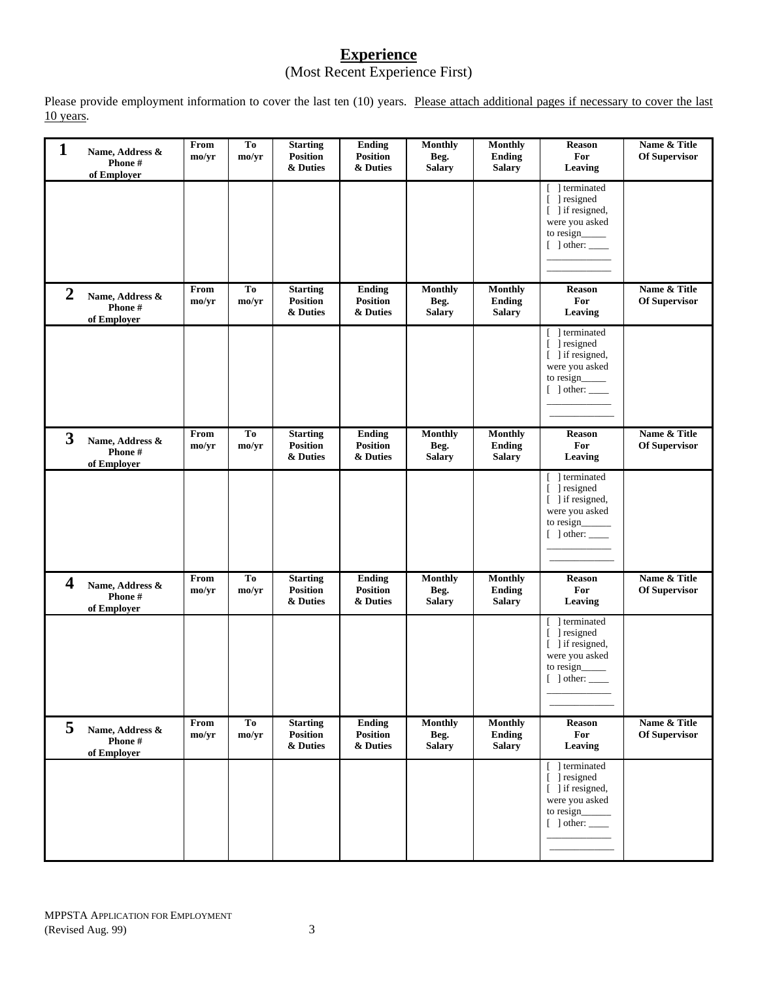### **Experience** (Most Recent Experience First)

Please provide employment information to cover the last ten (10) years. Please attach additional pages if necessary to cover the last 10 years.

| $\mathbf{1}$   | Name, Address &<br>Phone #<br>of Employer | From<br>mo/yr | To<br>mo/yr | <b>Starting</b><br>Position<br>& Duties        | Ending<br><b>Position</b><br>& Duties | <b>Monthly</b><br>Beg.<br><b>Salary</b> | <b>Monthly</b><br><b>Ending</b><br><b>Salary</b> | <b>Reason</b><br>For<br>Leaving                                                                                             | Name & Title<br><b>Of Supervisor</b> |
|----------------|-------------------------------------------|---------------|-------------|------------------------------------------------|---------------------------------------|-----------------------------------------|--------------------------------------------------|-----------------------------------------------------------------------------------------------------------------------------|--------------------------------------|
|                |                                           |               |             |                                                |                                       |                                         |                                                  | ] terminated<br>Γ.<br>] resigned<br>$\Gamma$<br>[ ] if resigned,<br>were you asked<br>to resign_____<br>$[$ ] other: $\_\_$ |                                      |
| $\overline{2}$ | Name, Address &<br>Phone #<br>of Employer | From<br>mo/yr | To<br>mo/yr | <b>Starting</b><br><b>Position</b><br>& Duties | Ending<br><b>Position</b><br>& Duties | Monthly<br>Beg.<br><b>Salary</b>        | <b>Monthly</b><br><b>Ending</b><br><b>Salary</b> | Reason<br>For<br>Leaving                                                                                                    | Name & Title<br>Of Supervisor        |
|                |                                           |               |             |                                                |                                       |                                         |                                                  | 1 terminated<br>T<br>[ ] resigned<br>[ ] if resigned,<br>were you asked<br>to resign_<br>$[$ ] other: $\_\_$                |                                      |
| 3              | Name, Address &<br>Phone #<br>of Employer | From<br>mo/yr | To<br>mo/yr | <b>Starting</b><br>Position<br>& Duties        | Ending<br><b>Position</b><br>& Duties | <b>Monthly</b><br>Beg.<br><b>Salary</b> | Monthly<br><b>Ending</b><br><b>Salary</b>        | <b>Reason</b><br>For<br>Leaving                                                                                             | Name & Title<br><b>Of Supervisor</b> |
|                |                                           |               |             |                                                |                                       |                                         |                                                  | 1 terminated<br>L<br>[ ] resigned<br>[ ] if resigned,<br>were you asked<br>to resign $\qquad$<br>$[$ ] other: $\_\_$        |                                      |
| 4              | Name, Address &<br>Phone#<br>of Employer  | From<br>mo/yr | To<br>mo/yr | <b>Starting</b><br><b>Position</b><br>& Duties | Ending<br><b>Position</b><br>& Duties | <b>Monthly</b><br>Beg.<br><b>Salary</b> | <b>Monthly</b><br><b>Ending</b><br><b>Salary</b> | <b>Reason</b><br>For<br>Leaving                                                                                             | Name & Title<br><b>Of Supervisor</b> |
|                |                                           |               |             |                                                |                                       |                                         |                                                  | 1 terminated<br>$\Gamma$<br>] resigned<br>[ ] if resigned,<br>were you asked<br>to resign_<br>$[$ dther: $\_\_$             |                                      |
| 5              | Name, Address &<br>Phone#<br>of Employer  | From<br>mo/yr | To<br>mo/yr | <b>Starting</b><br>Position<br>& Duties        | Ending<br><b>Position</b><br>& Duties | <b>Monthly</b><br>Beg.<br><b>Salary</b> | <b>Monthly</b><br>Ending<br><b>Salary</b>        | Reason<br>For<br>Leaving                                                                                                    | Name & Title<br>Of Supervisor        |
|                |                                           |               |             |                                                |                                       |                                         |                                                  | 1 terminated<br>T<br>[ ] resigned<br>[ ] if resigned,<br>were you asked<br>to resign______<br>$[$ ] other: $\_\_$           |                                      |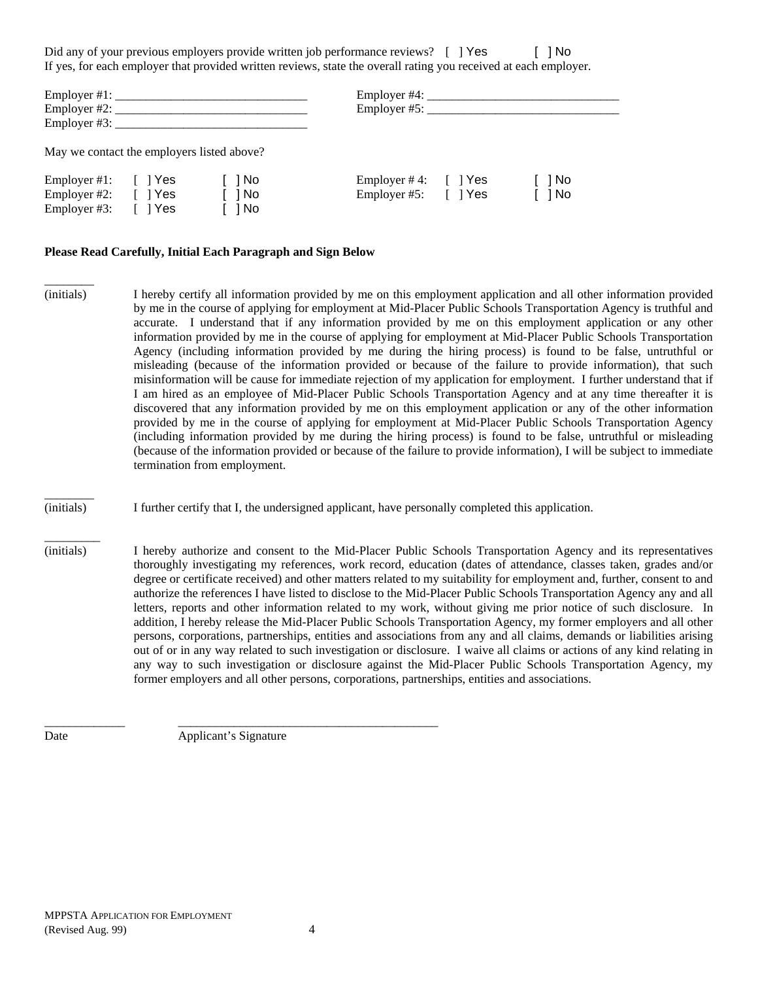Did any of your previous employers provide written job performance reviews?  $\lceil$  | Yes  $\lceil$  | No If yes, for each employer that provided written reviews, state the overall rating you received at each employer.

|                                                                                  |         |                      | Employer $#4$ :<br>Employer $#5$ : $\_\_$ |         |            |
|----------------------------------------------------------------------------------|---------|----------------------|-------------------------------------------|---------|------------|
| May we contact the employers listed above?                                       |         |                      |                                           |         |            |
| Employer #1: $\lceil \cdot \rceil$ Yes<br>Employer #2: $[$   Yes<br>Employer #3: | I I Yes | 1 No<br>1 No<br>] No | Employer #4:<br>Employer #5: [] Yes       | [ ] Yes | No<br>l No |

### **Please Read Carefully, Initial Each Paragraph and Sign Below**

- \_\_\_\_\_\_\_\_ (initials) I hereby certify all information provided by me on this employment application and all other information provided by me in the course of applying for employment at Mid-Placer Public Schools Transportation Agency is truthful and accurate. I understand that if any information provided by me on this employment application or any other information provided by me in the course of applying for employment at Mid-Placer Public Schools Transportation Agency (including information provided by me during the hiring process) is found to be false, untruthful or misleading (because of the information provided or because of the failure to provide information), that such misinformation will be cause for immediate rejection of my application for employment. I further understand that if I am hired as an employee of Mid-Placer Public Schools Transportation Agency and at any time thereafter it is discovered that any information provided by me on this employment application or any of the other information provided by me in the course of applying for employment at Mid-Placer Public Schools Transportation Agency (including information provided by me during the hiring process) is found to be false, untruthful or misleading (because of the information provided or because of the failure to provide information), I will be subject to immediate termination from employment.
- (initials) I further certify that I, the undersigned applicant, have personally completed this application.
- (initials) I hereby authorize and consent to the Mid-Placer Public Schools Transportation Agency and its representatives thoroughly investigating my references, work record, education (dates of attendance, classes taken, grades and/or degree or certificate received) and other matters related to my suitability for employment and, further, consent to and authorize the references I have listed to disclose to the Mid-Placer Public Schools Transportation Agency any and all letters, reports and other information related to my work, without giving me prior notice of such disclosure. In addition, I hereby release the Mid-Placer Public Schools Transportation Agency, my former employers and all other persons, corporations, partnerships, entities and associations from any and all claims, demands or liabilities arising out of or in any way related to such investigation or disclosure. I waive all claims or actions of any kind relating in any way to such investigation or disclosure against the Mid-Placer Public Schools Transportation Agency, my former employers and all other persons, corporations, partnerships, entities and associations.

Date Applicant's Signature

\_\_\_\_\_\_\_\_\_\_\_\_\_ \_\_\_\_\_\_\_\_\_\_\_\_\_\_\_\_\_\_\_\_\_\_\_\_\_\_\_\_\_\_\_\_\_\_\_\_\_\_\_\_\_\_

 $\overline{\phantom{a}}$ 

 $\overline{\phantom{a}}$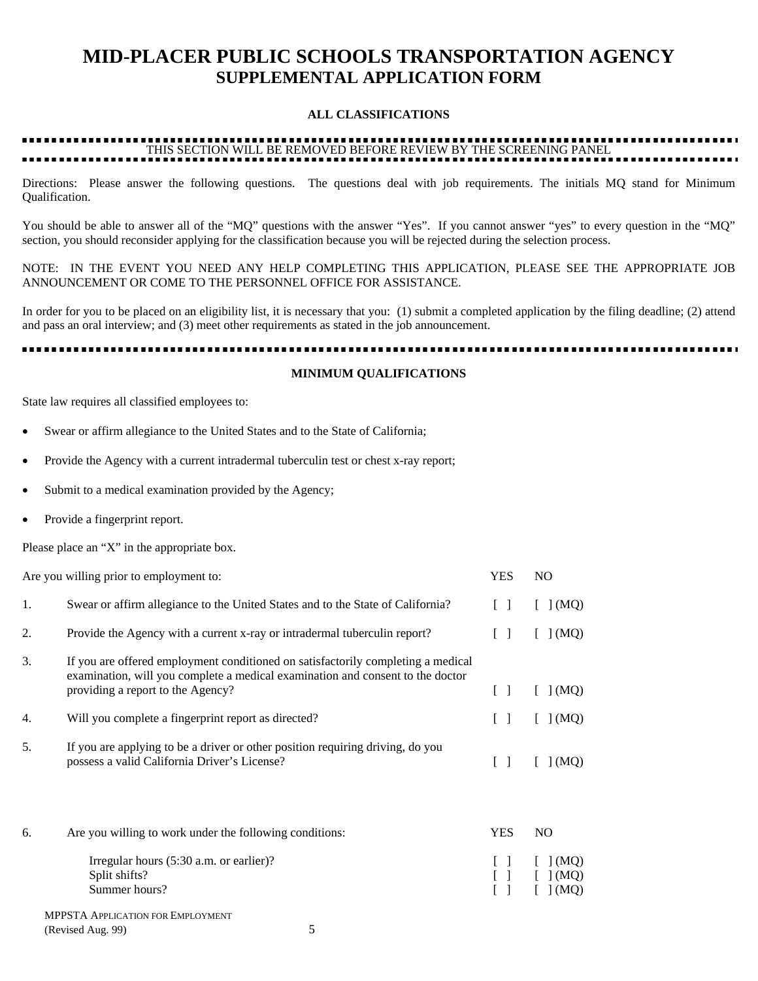# **MID-PLACER PUBLIC SCHOOLS TRANSPORTATION AGENCY SUPPLEMENTAL APPLICATION FORM**

### **ALL CLASSIFICATIONS**

# THIS SECTION WILL BE REMOVED BEFORE REVIEW BY THE SCREENING PANEL

Directions: Please answer the following questions. The questions deal with job requirements. The initials MQ stand for Minimum Qualification.

You should be able to answer all of the "MQ" questions with the answer "Yes". If you cannot answer "yes" to every question in the "MQ" section, you should reconsider applying for the classification because you will be rejected during the selection process.

NOTE: IN THE EVENT YOU NEED ANY HELP COMPLETING THIS APPLICATION, PLEASE SEE THE APPROPRIATE JOB ANNOUNCEMENT OR COME TO THE PERSONNEL OFFICE FOR ASSISTANCE.

In order for you to be placed on an eligibility list, it is necessary that you: (1) submit a completed application by the filing deadline; (2) attend and pass an oral interview; and (3) meet other requirements as stated in the job announcement.

.................... ............................

#### **MINIMUM QUALIFICATIONS**

State law requires all classified employees to:

- Swear or affirm allegiance to the United States and to the State of California;
- Provide the Agency with a current intradermal tuberculin test or chest x-ray report;
- Submit to a medical examination provided by the Agency;
- Provide a fingerprint report.

Please place an "X" in the appropriate box.

|    | Are you willing prior to employment to:                                                                                                                                                                 | <b>YES</b>                      | N <sub>O</sub>          |
|----|---------------------------------------------------------------------------------------------------------------------------------------------------------------------------------------------------------|---------------------------------|-------------------------|
| 1. | Swear or affirm allegiance to the United States and to the State of California?                                                                                                                         | $\Box$                          | [ ] (MQ)                |
| 2. | Provide the Agency with a current x-ray or intradermal tuberculin report?                                                                                                                               | $\Box$                          | J(MQ)                   |
| 3. | If you are offered employment conditioned on satisfactorily completing a medical<br>examination, will you complete a medical examination and consent to the doctor<br>providing a report to the Agency? | $\Box$                          | [ ] (MQ)                |
| 4. | Will you complete a fingerprint report as directed?                                                                                                                                                     | $\begin{bmatrix} \end{bmatrix}$ | [ ] (MQ)                |
| 5. | If you are applying to be a driver or other position requiring driving, do you<br>possess a valid California Driver's License?                                                                          | $\begin{bmatrix} \end{bmatrix}$ | [ ] (MQ)                |
| 6. | Are you willing to work under the following conditions:                                                                                                                                                 | <b>YES</b>                      | N <sub>O</sub>          |
|    | Irregular hours (5:30 a.m. or earlier)?<br>Split shifts?<br>Summer hours?                                                                                                                               |                                 | 1 (MQ)<br> (MO)<br>(MQ) |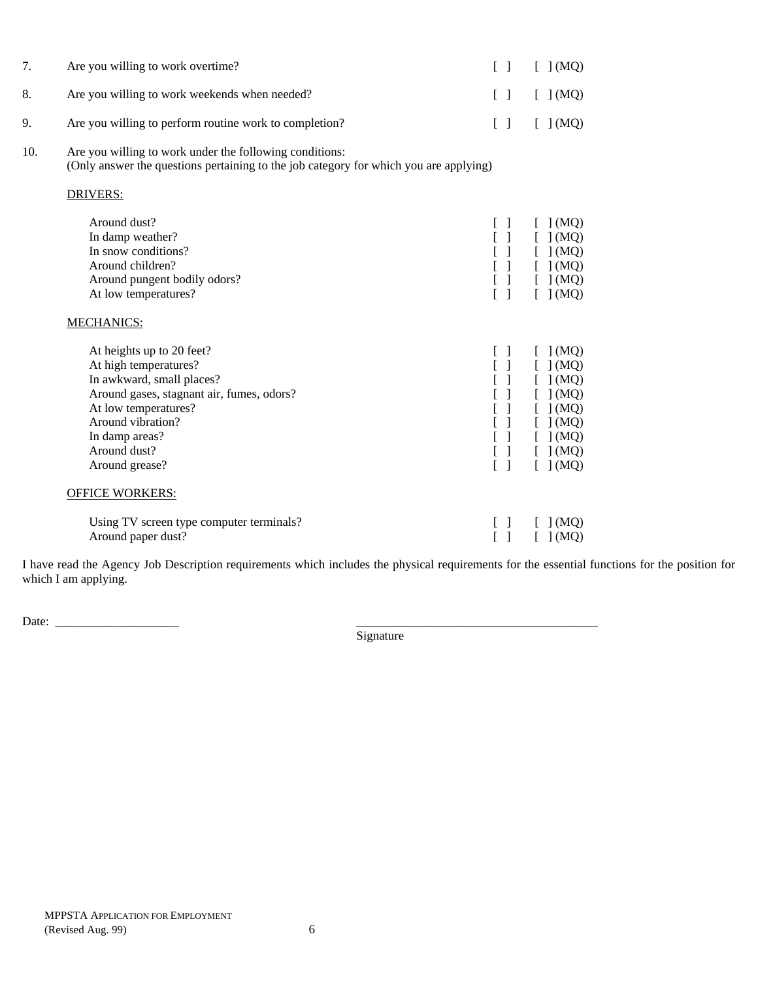| 7.  | Are you willing to work overtime?                                                                                                                                                                                             | $\begin{bmatrix} \end{bmatrix}$        | [ ] (MQ)                                                                                      |
|-----|-------------------------------------------------------------------------------------------------------------------------------------------------------------------------------------------------------------------------------|----------------------------------------|-----------------------------------------------------------------------------------------------|
| 8.  | Are you willing to work weekends when needed?                                                                                                                                                                                 | $\begin{bmatrix} 1 \end{bmatrix}$      | [ ] (MQ)                                                                                      |
| 9.  | Are you willing to perform routine work to completion?                                                                                                                                                                        | $[ \ ]$                                | [ ] (MQ)                                                                                      |
| 10. | Are you willing to work under the following conditions:<br>(Only answer the questions pertaining to the job category for which you are applying)                                                                              |                                        |                                                                                               |
|     | <b>DRIVERS:</b>                                                                                                                                                                                                               |                                        |                                                                                               |
|     | Around dust?<br>In damp weather?<br>In snow conditions?<br>Around children?<br>Around pungent bodily odors?<br>At low temperatures?                                                                                           | $\left[ \quad \right]$<br>[ ]          | [ ] (MQ)<br>[ ] (MQ)<br>[ ] (MQ)<br>[ ] (MQ)<br>[ ] (MQ)<br>[ ] (MQ)                          |
|     | <b>MECHANICS:</b>                                                                                                                                                                                                             |                                        |                                                                                               |
|     | At heights up to 20 feet?<br>At high temperatures?<br>In awkward, small places?<br>Around gases, stagnant air, fumes, odors?<br>At low temperatures?<br>Around vibration?<br>In damp areas?<br>Around dust?<br>Around grease? | [<br>$\begin{bmatrix} 1 \end{bmatrix}$ | [ ] (MQ)<br>[ ] (MQ)<br>[ ] (MQ)<br>[ ] (MQ)<br>$\,$ (MQ)<br>[ ] (MQ)<br>[ ] (MQ)<br>[ ] (MQ) |
|     | <b>OFFICE WORKERS:</b>                                                                                                                                                                                                        |                                        |                                                                                               |
|     | Using TV screen type computer terminals?<br>Around paper dust?                                                                                                                                                                | $\mathbf{I}$                           | [ ] (MQ)<br>$\mid$ (MQ)                                                                       |

I have read the Agency Job Description requirements which includes the physical requirements for the essential functions for the position for which I am applying.

Date: \_\_\_\_\_\_\_\_\_\_\_\_\_\_\_\_\_\_\_\_ \_\_\_\_\_\_\_\_\_\_\_\_\_\_\_\_\_\_\_\_\_\_\_\_\_\_\_\_\_\_\_\_\_\_\_\_\_\_\_

**Signature**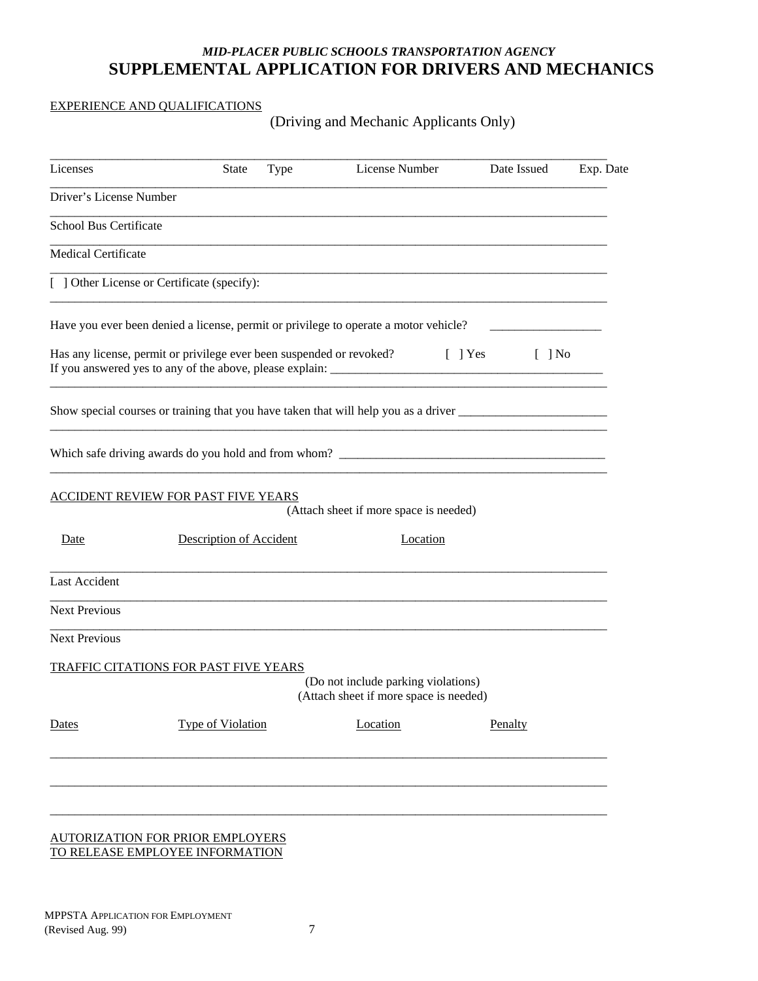### *MID-PLACER PUBLIC SCHOOLS TRANSPORTATION AGENCY*  **SUPPLEMENTAL APPLICATION FOR DRIVERS AND MECHANICS**

### EXPERIENCE AND QUALIFICATIONS

(Driving and Mechanic Applicants Only)

| Licenses                      | <b>State</b>                                                         | Type | License Number                                                                       | Date Issued           | Exp. Date |
|-------------------------------|----------------------------------------------------------------------|------|--------------------------------------------------------------------------------------|-----------------------|-----------|
| Driver's License Number       |                                                                      |      |                                                                                      |                       |           |
| <b>School Bus Certificate</b> |                                                                      |      |                                                                                      |                       |           |
| <b>Medical Certificate</b>    |                                                                      |      |                                                                                      |                       |           |
|                               | [ ] Other License or Certificate (specify):                          |      |                                                                                      |                       |           |
|                               |                                                                      |      | Have you ever been denied a license, permit or privilege to operate a motor vehicle? |                       |           |
|                               | Has any license, permit or privilege ever been suspended or revoked? |      | $[\ ]$ Yes                                                                           | $\lceil \; \rceil$ No |           |
|                               |                                                                      |      |                                                                                      |                       |           |
|                               |                                                                      |      |                                                                                      |                       |           |
|                               | ACCIDENT REVIEW FOR PAST FIVE YEARS                                  |      | (Attach sheet if more space is needed)                                               |                       |           |
| Date                          | Description of Accident                                              |      | Location                                                                             |                       |           |
| <b>Last Accident</b>          |                                                                      |      |                                                                                      |                       |           |
| <b>Next Previous</b>          |                                                                      |      |                                                                                      |                       |           |
| <b>Next Previous</b>          |                                                                      |      |                                                                                      |                       |           |
|                               | TRAFFIC CITATIONS FOR PAST FIVE YEARS                                |      | (Do not include parking violations)<br>(Attach sheet if more space is needed)        |                       |           |
| Dates                         | <b>Type of Violation</b>                                             |      | Location                                                                             | Penalty               |           |
|                               |                                                                      |      |                                                                                      |                       |           |
|                               |                                                                      |      |                                                                                      |                       |           |
|                               |                                                                      |      |                                                                                      |                       |           |

#### AUTORIZATION FOR PRIOR EMPLOYERS TO RELEASE EMPLOYEE INFORMATION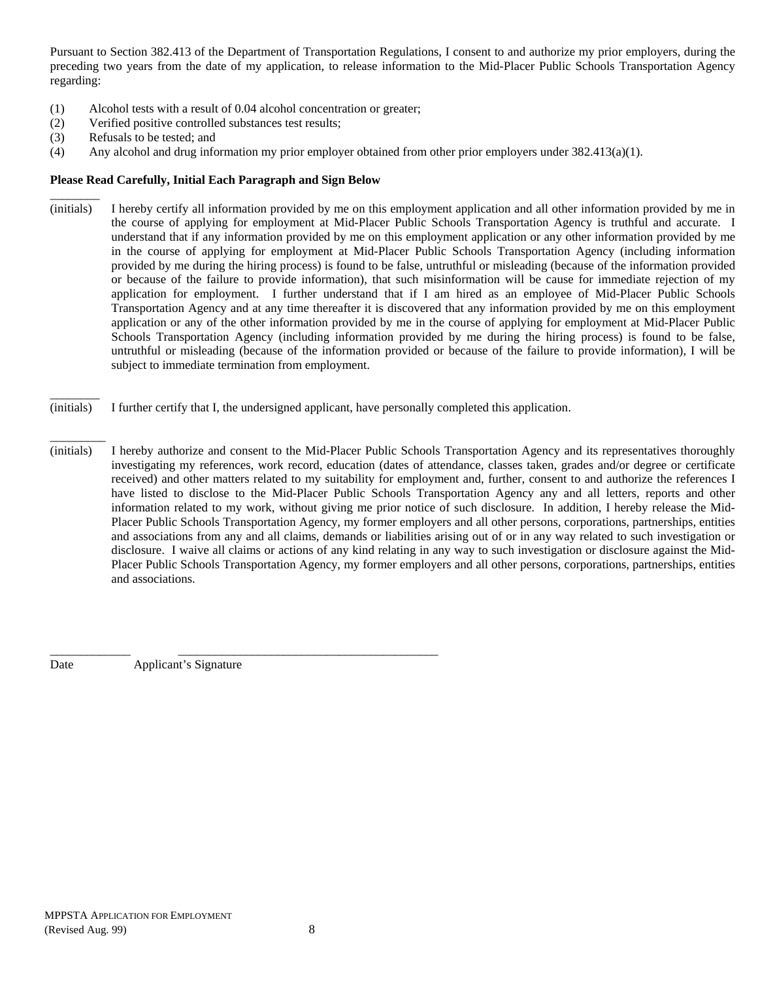Pursuant to Section 382.413 of the Department of Transportation Regulations, I consent to and authorize my prior employers, during the preceding two years from the date of my application, to release information to the Mid-Placer Public Schools Transportation Agency regarding:

- (1) Alcohol tests with a result of 0.04 alcohol concentration or greater;
- (2) Verified positive controlled substances test results;
- (3) Refusals to be tested; and

\_\_\_\_\_\_\_\_

\_\_\_\_\_\_\_\_

\_\_\_\_\_\_\_\_\_

(4) Any alcohol and drug information my prior employer obtained from other prior employers under 382.413(a)(1).

### **Please Read Carefully, Initial Each Paragraph and Sign Below**

- (initials) I hereby certify all information provided by me on this employment application and all other information provided by me in the course of applying for employment at Mid-Placer Public Schools Transportation Agency is truthful and accurate. I understand that if any information provided by me on this employment application or any other information provided by me in the course of applying for employment at Mid-Placer Public Schools Transportation Agency (including information provided by me during the hiring process) is found to be false, untruthful or misleading (because of the information provided or because of the failure to provide information), that such misinformation will be cause for immediate rejection of my application for employment. I further understand that if I am hired as an employee of Mid-Placer Public Schools Transportation Agency and at any time thereafter it is discovered that any information provided by me on this employment application or any of the other information provided by me in the course of applying for employment at Mid-Placer Public Schools Transportation Agency (including information provided by me during the hiring process) is found to be false, untruthful or misleading (because of the information provided or because of the failure to provide information), I will be subject to immediate termination from employment.
- (initials) I further certify that I, the undersigned applicant, have personally completed this application.
- (initials) I hereby authorize and consent to the Mid-Placer Public Schools Transportation Agency and its representatives thoroughly investigating my references, work record, education (dates of attendance, classes taken, grades and/or degree or certificate received) and other matters related to my suitability for employment and, further, consent to and authorize the references I have listed to disclose to the Mid-Placer Public Schools Transportation Agency any and all letters, reports and other information related to my work, without giving me prior notice of such disclosure. In addition, I hereby release the Mid-Placer Public Schools Transportation Agency, my former employers and all other persons, corporations, partnerships, entities and associations from any and all claims, demands or liabilities arising out of or in any way related to such investigation or disclosure. I waive all claims or actions of any kind relating in any way to such investigation or disclosure against the Mid-Placer Public Schools Transportation Agency, my former employers and all other persons, corporations, partnerships, entities and associations.

Date **Applicant's Signature** 

\_\_\_\_\_\_\_\_\_\_\_\_\_ \_\_\_\_\_\_\_\_\_\_\_\_\_\_\_\_\_\_\_\_\_\_\_\_\_\_\_\_\_\_\_\_\_\_\_\_\_\_\_\_\_\_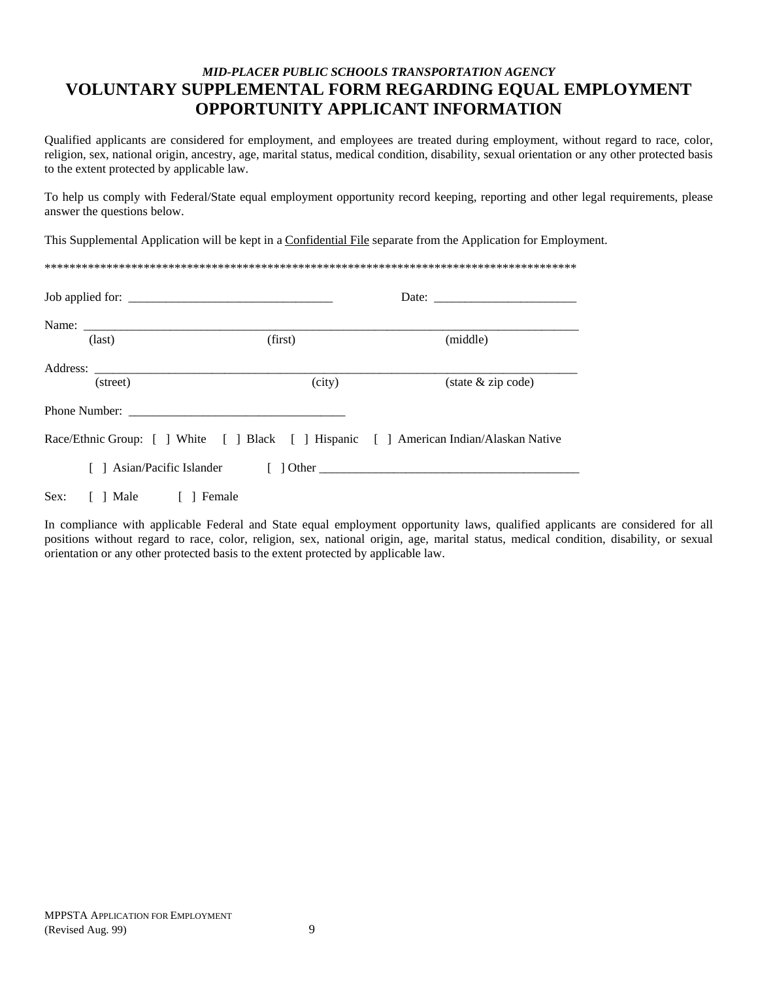### *MID-PLACER PUBLIC SCHOOLS TRANSPORTATION AGENCY*  **VOLUNTARY SUPPLEMENTAL FORM REGARDING EQUAL EMPLOYMENT OPPORTUNITY APPLICANT INFORMATION**

Qualified applicants are considered for employment, and employees are treated during employment, without regard to race, color, religion, sex, national origin, ancestry, age, marital status, medical condition, disability, sexual orientation or any other protected basis to the extent protected by applicable law.

To help us comply with Federal/State equal employment opportunity record keeping, reporting and other legal requirements, please answer the questions below.

This Supplemental Application will be kept in a Confidential File separate from the Application for Employment.

| Job applied for:            |                                                                                    | Date: $\frac{1}{\sqrt{1-\frac{1}{2}} \cdot \frac{1}{2}}$ |
|-----------------------------|------------------------------------------------------------------------------------|----------------------------------------------------------|
|                             |                                                                                    |                                                          |
| $\text{(last)}$             | (first)                                                                            | (middle)                                                 |
|                             |                                                                                    |                                                          |
| (street)                    | (city)                                                                             | $(\text{state } \& \text{ zip code})$                    |
|                             |                                                                                    |                                                          |
|                             | Race/Ethnic Group: [] White [] Black [] Hispanic [] American Indian/Alaskan Native |                                                          |
|                             |                                                                                    |                                                          |
| Sex:<br>[ ] Male [ ] Female |                                                                                    |                                                          |

In compliance with applicable Federal and State equal employment opportunity laws, qualified applicants are considered for all positions without regard to race, color, religion, sex, national origin, age, marital status, medical condition, disability, or sexual orientation or any other protected basis to the extent protected by applicable law.